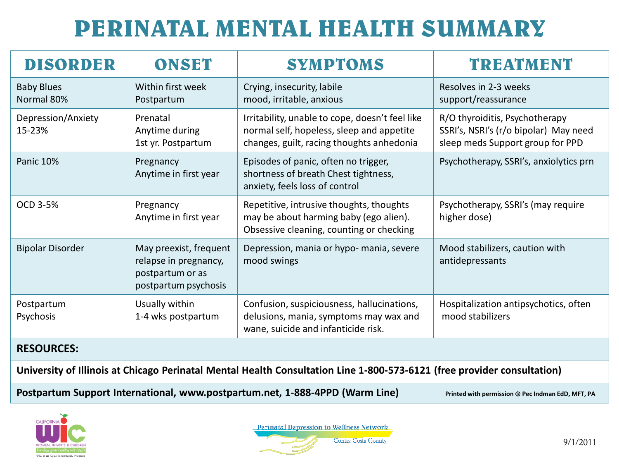## **PERINATAL MENTAL HEALTH SUMMARY**

| <b>DISORDER</b>                 | <b>ONSET</b>                                                                                | <b>SYMPTOMS</b>                                                                                                                           | <b>TREATMENT</b>                                                                                            |  |  |  |  |
|---------------------------------|---------------------------------------------------------------------------------------------|-------------------------------------------------------------------------------------------------------------------------------------------|-------------------------------------------------------------------------------------------------------------|--|--|--|--|
| <b>Baby Blues</b><br>Normal 80% | Within first week<br>Postpartum                                                             | Crying, insecurity, labile<br>mood, irritable, anxious                                                                                    | Resolves in 2-3 weeks<br>support/reassurance                                                                |  |  |  |  |
| Depression/Anxiety<br>15-23%    | Prenatal<br>Anytime during<br>1st yr. Postpartum                                            | Irritability, unable to cope, doesn't feel like<br>normal self, hopeless, sleep and appetite<br>changes, guilt, racing thoughts anhedonia | R/O thyroiditis, Psychotherapy<br>SSRI's, NSRI's (r/o bipolar) May need<br>sleep meds Support group for PPD |  |  |  |  |
| Panic 10%                       | Pregnancy<br>Anytime in first year                                                          | Episodes of panic, often no trigger,<br>shortness of breath Chest tightness,<br>anxiety, feels loss of control                            | Psychotherapy, SSRI's, anxiolytics prn                                                                      |  |  |  |  |
| OCD 3-5%                        | Pregnancy<br>Anytime in first year                                                          | Repetitive, intrusive thoughts, thoughts<br>may be about harming baby (ego alien).<br>Obsessive cleaning, counting or checking            | Psychotherapy, SSRI's (may require<br>higher dose)                                                          |  |  |  |  |
| <b>Bipolar Disorder</b>         | May preexist, frequent<br>relapse in pregnancy,<br>postpartum or as<br>postpartum psychosis | Depression, mania or hypo- mania, severe<br>mood swings                                                                                   | Mood stabilizers, caution with<br>antidepressants                                                           |  |  |  |  |
| Postpartum<br>Psychosis         | Usually within<br>1-4 wks postpartum                                                        | Confusion, suspiciousness, hallucinations,<br>delusions, mania, symptoms may wax and<br>wane, suicide and infanticide risk.               | Hospitalization antipsychotics, often<br>mood stabilizers                                                   |  |  |  |  |
| <b>RESOURCES:</b>               |                                                                                             |                                                                                                                                           |                                                                                                             |  |  |  |  |

**University of Illinois at Chicago Perinatal Mental Health Consultation Line 1-800-573-6121 (free provider consultation)** 

Postpartum Support International, www.postpartum.net, 1-888-4PPD (Warm Line) **Printed with permission © Pec Indman EdD**, MFT, PA